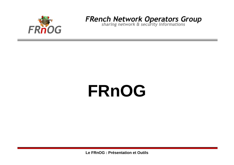

# **FRnOG**

Le FRnOG : Présentation et Outils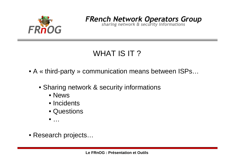

### WHAT IS IT?

• A « third-party » communication means between ISPs…

- Sharing network & security informations
	- News
	- Incidents
	- Questions

 $\bullet$  ...

• Research projects…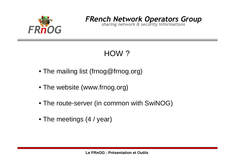

## HOW ?

- The mailing list (frnog@frnog.org)
- The website (www.frnog.org)
- The route-server (in common with SwiNOG)
- The meetings (4 / year)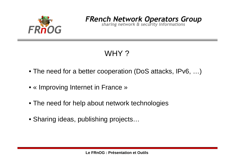

## WHY?

- The need for a better cooperation (DoS attacks, IPv6, ...)
- « Improving Internet in France »
- The need for help about network technologies
- Sharing ideas, publishing projects...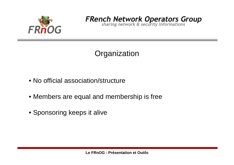

#### **Organization**

- No official association/structure
- Members are equal and membership is free
- Sponsoring keeps it alive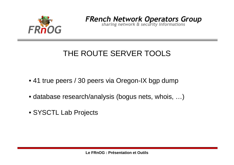

**FRench Network Operators Group**<br>sharing network & security informations

## THE ROUTE SERVER TOOLS

- 41 true peers / 30 peers via Oregon-IX bgp dump
- database research/analysis (bogus nets, whois, …)
- SYSCTL Lab Projects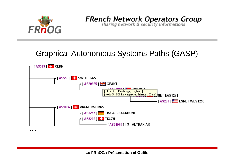

**FRench Network Operators Group**<br>sharing network & security informations

#### **Graphical Autonomous Systems Paths (GASP)**

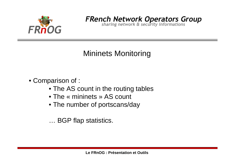

#### Mininets Monitoring

#### • Comparison of :

- The AS count in the routing tables
- The « mininets » AS count
- The number of portscans/day

… BGP flap statistics.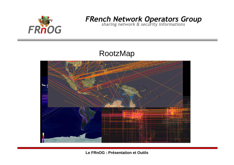

#### RootzMap

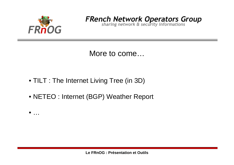

More to come...

- TILT : The Internet Living Tree (in 3D)
- NETEO : Internet (BGP) Weather Report